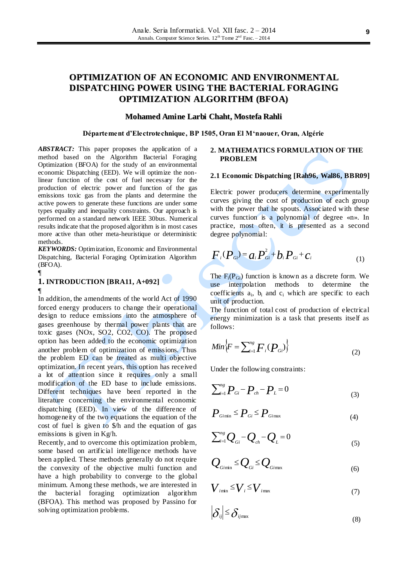# **OPTIMIZATION OF AN ECONOMIC AND ENVIRONMENTAL DISPATCHING POWER USING THE BACTERIAL FORAGING OPTIMIZATION ALGORITHM (BFOA)**

### **Mohamed Amine Larbi Chaht, Mostefa Rahli**

### **Département d'Electrotechnique, BP 1505, Oran El M'naouer, Oran, Algérie**

*ABSTRACT:* This paper proposes the application of a method based on the Algorithm Bacterial Foraging Optimization (BFOA) for the study of an environmental economic Dispatching (EED). We will optimize the nonlinear function of the cost of fuel necessary for the production of electric power and function of the gas emissions toxic gas from the plants and determine the active powers to generate these functions are under some types equality and inequality constraints. Our approach is performed on a standard network IEEE 30bus. Numerical results indicate that the proposed algorithm is in most cases more active than other meta-heuristique or deterministic methods.

*KEYWORDS:* Optimization, Economic and Environmental Dispatching, Bacterial Foraging Optimization Algorithm (BFOA).

#### ¶

# **1. INTRODUCTION [BRA11, A+092]** ¶

In addition, the amendments of the world Act of 1990 forced energy producers to change their operational design to reduce emissions into the atmosphere of gases greenhouse by thermal power plants that are toxic gases (NOx, SO2, CO2, CO). The proposed option has been added to the economic optimization another problem of optimization of emissions. Thus the problem ED can be treated as multi objective optimization. In recent years, this option has received a lot of attention since it requires only a small modification of the ED base to include emissions. Different techniques have been reported in the literature concerning the environmental economic dispatching (EED). In view of the difference of homogeneity of the two equations the equation of the cost of fuel is given to \$/h and the equation of gas emissions is given in Kg/h.

Recently, and to overcome this optimization problem, some based on artificial intelligence methods have been applied. These methods generally do not require the convexity of the objective multi function and have a high probability to converge to the global minimum. Among these methods, we are interested in the bacterial foraging optimization algorithm (BFOA). This method was proposed by Passino for solving optimization problems.

# **2. MATHEMATICS FORMULATION OF THE PROBLEM**

#### **2.1 Economic Dispatching [Rah96, Wal86, BBR09]**

Electric power producers determine experimentally curves giving the cost of production of each group with the power that he spouts. Associated with these curves function is a polynomial of degree «n». In practice, most often, it is presented as a second degree polynomial:

$$
F_i(P_{gi}) = a_i P_{gi}^2 + b_i P_{gi} + c_i
$$
 (1)

The  $F_i(P_{Gi})$  function is known as a discrete form. We use interpolation methods to determine the coefficients  $a_i$ ,  $b_i$  and  $c_i$  which are specific to each unit of production.

The function of total cost of production of electrical energy minimization is a task that presents itself as follows:

$$
Min\left\{F=\sum_{i=1}^{n_{S}}F_{i}(P_{Gi})\right\}
$$
 (2)

Under the following constraints:

$$
\sum_{i=1}^{n_g} P_{Gi} - P_{ch} - P_L = 0 \tag{3}
$$

$$
P_{Gimn} \leq P_{Gi} \leq P_{Gimax} \tag{4}
$$

$$
\sum_{i=1}^{n_g} Q_{Gi} - Q_{ch} - Q_L = 0
$$
 (5)

$$
Q_{G\text{min}} \leq Q_{G} \leq Q_{G\text{max}} \tag{6}
$$

$$
V_{i\min} \le V_i \le V_{i\max} \tag{7}
$$

$$
\left|\delta_{ij}\right| \leq \delta_{ij\max} \tag{8}
$$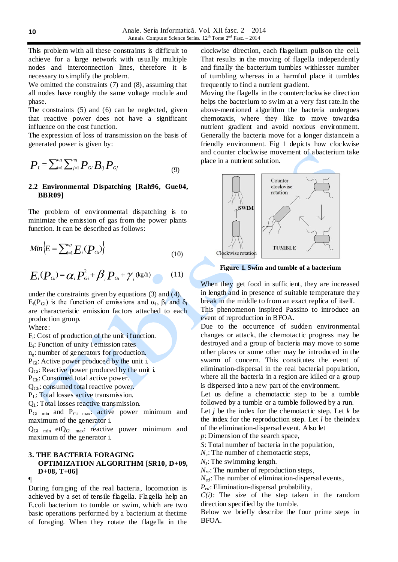This problem with all these constraints is difficult to achieve for a large network with usually multiple nodes and interconnection lines, therefore it is necessary to simplify the problem.

We omitted the constraints (7) and (8), assuming that all nodes have roughly the same voltage module and phase.

The constraints (5) and (6) can be neglected, given that reactive power does not have a significant influence on the cost function.

The expression of loss of transmission on the basis of generated power is given by:

$$
P_{L} = \sum_{i=1}^{n_{g}} \sum_{j=1}^{n_{g}} P_{Gi} B_{ij} P_{Gj}
$$
 (9)

# **2.2 Environmental Dispatching [Rah96, Gue04, BBR09]**

The problem of environmental dispatching is to minimize the emission of gas from the power plants function. It can be described as follows:

$$
Min\left\{E=\sum_{i=1}^{n_g}E_i(P_{Gi})\right\}
$$
 (10)

$$
E_i(P_{Gi}) = \alpha_i P_{Gi}^2 + \beta_i P_{Gi} + \gamma_i \text{ (kg/h)}
$$
 (11)

under the constraints given by equations (3) and (4).  $E_i(P_{Gi})$  is the function of emissions and  $\alpha_i$ ,  $\beta_i$  and  $\delta_i$ are characteristic emission factors attached to each production group.

Where:

Fi: Cost of production of the unit i function.

Ei: Function of unity i emission rates

ng: number of generators for production.

PGi: Active power produced by the unit i.

QGi: Reactive power produced by the unit i.

PCh: Consumed total active power.

QCh: consumed total reactive power.

PL: Total losses active transmission.

 $Q_L$ : Total losses reactive transmission.

P<sub>Gi min</sub> and P<sub>Gi max</sub>: active power minimum and maximum of the generator i.

QGi min etQGi max: reactive power minimum and maximum of the generator i.

### **3. THE BACTERIA FORAGING OPTIMIZATION ALGORITHM [SR10, D+09, D+08, T+06]** ¶

# During foraging of the real bacteria, locomotion is achieved by a set of tensile flagella. Flagella help an E.coli bacterium to tumble or swim, which are two basic operations performed by a bacterium at thetime of foraging. When they rotate the flagella in the

clockwise direction, each flagellum pullson the cell. That results in the moving of flagella independently and finally the bacterium tumbles withlesser number of tumbling whereas in a harmful place it tumbles frequently to find a nutrient gradient.

Moving the flagella in the counterclockwise direction helps the bacterium to swim at a very fast rate.In the above-mentioned algorithm the bacteria undergoes chemotaxis, where they like to move towardsa nutrient gradient and avoid noxious environment. Generally the bacteria move for a longer distancein a friendly environment. Fig 1 depicts how clockwise and counter clockwise movement of abacterium take place in a nutrient solution.



**Figure 1. Swim and tumble of a bacterium**

When they get food in sufficient, they are increased in length and in presence of suitable temperature they break in the middle to from an exact replica of itself. This phenomenon inspired Passino to introduce an

event of reproduction in BFOA.

Due to the occurrence of sudden environmental changes or attack, the chemotactic progress may be destroyed and a group of bacteria may move to some other places or some other may be introduced in the swarm of concern. This constitutes the event of elimination-dispersal in the real bacterial population, where all the bacteria in a region are killed or a group is dispersed into a new part of the environment.

Let us define a chemotactic step to be a tumble followed by a tumble or a tumble followed by a run.

Let  $j$  be the index for the chemotactic step. Let  $k$  be the index for the reproduction step. Let *l* be theindex of the elimination-dispersal event. Also let

*p*: Dimension of the search space,

*S*: Total number of bacteria in the population,

*N<sub>c</sub>*: The number of chemotactic steps,

*Ns*: The swimming length.

*N<sub>re</sub>*: The number of reproduction steps,

*N<sub>ed</sub>*: The number of elimination-dispersal events,

*Ped*: Elimination-dispersal probability,

*C(i)*: The size of the step taken in the random direction specified by the tumble.

Below we briefly describe the four prime steps in BFOA.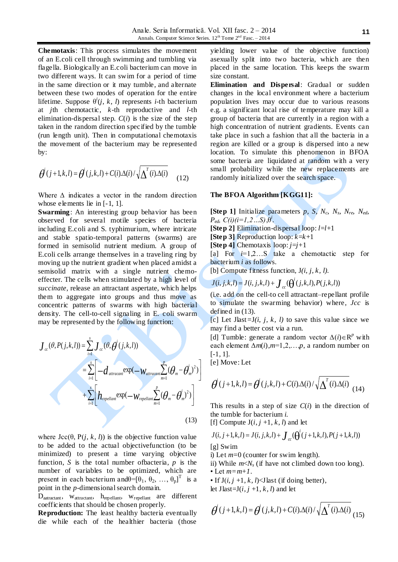**Chemotaxis**: This process simulates the movement of an E.coli cell through swimming and tumbling via flagella. Biologically an E.coli bacterium can move in two different ways. It can swim for a period of time in the same direction or it may tumble, and alternate between these two modes of operation for the entire lifetime. Suppose  $\theta^{i}(j, k, l)$  represents *i*-th bacterium at *j*th chemotactic, *k*-th reproductive and *l*-th elimination-dispersal step.  $C(i)$  is the size of the step taken in the random direction specified by the tumble (run length unit). Then in computational chemotaxis the movement of the bacterium may be represented by:

$$
\theta^{i}(j+1,k,l) = \theta^{i}(j,k,l) + C(i)\Delta(i)/\sqrt{\Delta^{i}(i)\Delta(i)}
$$
(12)

Where ∆ indicates a vector in the random direction whose elements lie in [-1, 1].

**Swarming**: An interesting group behavior has been observed for several motile species of bacteria including E.coli and S. typhimurium, where intricate and stable spatio-temporal patterns (swarms) are formed in semisolid nutrient medium. A group of E.coli cells arrange themselves in a traveling ring by moving up the nutrient gradient when placed amidst a semisolid matrix with a single nutrient chemoeffecter. The cells when stimulated by a high level of *succinate*, release an attractant aspertate, which helps them to aggregate into groups and thus move as concentric patterns of swarms with high bacterial density. The cell-to-cell signaling in E. coli swarm may be represented by the following function:

$$
J_{cc}(\theta, P(j,k,l)) = \sum_{i=1}^{s} J_{cc}(\theta, \theta^{i}(j,k,l))
$$
  
= 
$$
\sum_{i=1}^{s} \left[ -d_{atrac{an}{2}} \exp(-W_{atrac{an}{2}} \sum_{m=1}^{p} (\theta_{m} - \theta^{i}_{m})^{2}) \right]
$$
  
+ 
$$
\sum_{i=1}^{s} \left[ h_{repellant} \exp(-W_{repellant} \sum_{m=1}^{p} (\theta_{m} - \theta^{i}_{m})^{2}) \right]
$$
(13)

where  $\text{Jcc}(\theta, P(j, k, l))$  is the objective function value to be added to the actual objectivefunction (to be minimized) to present a time varying objective function, *S* is the total number ofbacteria, *p* is the number of variables to be optimized, which are present in each bacterium and  $\theta = [\theta_1, \theta_2, ..., \theta_p]^T$  is a point in the *p*-dimensional search domain.

D<sub>aatractant</sub>, w<sub>attractant</sub>, h<sub>repellant</sub>, w<sub>repellant</sub> are different coefficients that should be chosen properly.

**Reproduction:** The least healthy bacteria eventually die while each of the healthier bacteria (those

yielding lower value of the objective function) asexually split into two bacteria, which are then placed in the same location. This keeps the swarm size constant.

**Elimination and Dispersal**: Gradual or sudden changes in the local environment where a bacterium population lives may occur due to various reasons e.g. a significant local rise of temperature may kill a group of bacteria that are currently in a region with a high concentration of nutrient gradients. Events can take place in such a fashion that all the bacteria in a region are killed or a group is dispersed into a new location. To simulate this phenomenon in BFOA some bacteria are liquidated at random with a very small probability while the new replacements are randomly initialized over the search space.

### **The BFOA Algorithm [KGG11]:**

**[Step 1]** Initialize parameters  $p$ ,  $S$ ,  $N_c$ ,  $N_s$ ,  $N_{re}$ ,  $N_{ed}$ ,  $P_{ed}$ *, C(i)(i=1,2…S)*, $\theta^i$ . **[Step 2]** Elimination-dispersal loop: *l*=*l*+1 **[Step 3]** Reproduction loop: *k*=*k*+1 **[Step 4]** Chemotaxis loop:  $i=i+1$ [a] For  $i=1,2...S$  take a chemotactic step for bacterium *i* as follows. [b] Compute fitness function*,* J*(i, j, k, l).*

$$
J(i, j, k, l) = J(i, j, k, l) + \int_{cc} (\theta^i(j, k, l), P(j, k, l))
$$

(i.e. add on the cell-to cell attractant–repellant profile to simulate the swarming behavior) where, *Jcc* is defined in (13).

[c] Let Jlast*=*J*(i, j, k, l)* to save this value since we may find a better cost via a run.

[d] Tumble: generate a random vector  $\Delta(i) \in \mathbb{R}^p$  with each element ∆*m*(*i*),*m*=1,2,…,*p*, a random number on [-1, 1].

[e] Move: Let

$$
\boldsymbol{\theta}^{i}(j+1,k,l) = \boldsymbol{\theta}^{i}(j,k,l) + C(i)\Delta(i)/\sqrt{\Delta^{T}(i)\Delta(i)}
$$
(14)

This results in a step of size  $C(i)$  in the direction of the tumble for bacterium *i.*

[f] Compute  $J(i, j+1, k, l)$  and let

$$
J(i, j+1, k, l) = J(i, j, k, l) + \int_{\alpha}^{i} (\theta^i(j+1, k, l), P(j+1, k, l))
$$

[g] Swim

i) Let *m*=0 (counter for swim length).

ii) While *m*<*N<sup>s</sup>* (if have not climbed down too long). • Let *m=m+1*.

• If  $J(i, j +1, k, l)$ < $J$  last (if doing better),

let J $last=J(i, j+1, k, l)$  and let

$$
\boldsymbol{\theta}^{i}(j+1,k,l) = \boldsymbol{\theta}^{i}(j,k,l) + C(i)\Delta(i)/\sqrt{\Delta^{T}(i)\Delta(i)}
$$
(15)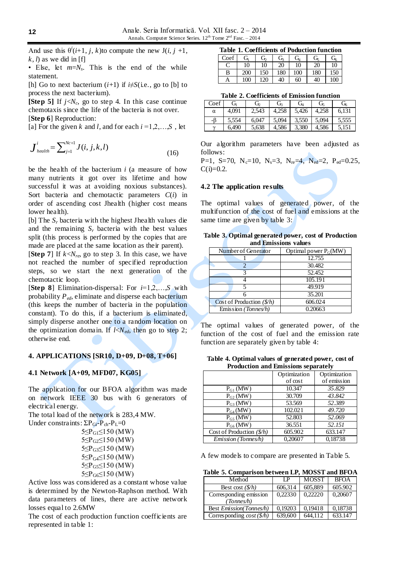And use this  $\theta^i(i+1, j, k)$  to compute the new  $J(i, j +1, j)$  $k, l$  as we did in [f]

• Else, let *m*=*N<sup>s</sup>* . This is the end of the while statement.

[h] Go to next bacterium  $(i+1)$  if  $i \neq S$ (i.e., go to [b] to process the next bacterium).

**[Step 5]** If  $j < N_c$ , go to step 4. In this case continue chemotaxis since the life of the bacteria is not over. [**Step 6**] Reproduction:

[a] For the given *k* and *l*, and for each  $i = 1,2,...,S$ , let

$$
\boldsymbol{J}_{\text{health}}^i = \sum_{j=1}^{Nc+1} J(i, j, k, l) \tag{16}
$$

be the health of the bacterium *i* (a measure of how many nutrients it got over its lifetime and how successful it was at avoiding noxious substances). Sort bacteria and chemotactic parameters *C*(*i*) in order of ascending cost Jhealth (higher cost means lower health).

[b] The *S<sup>r</sup>* bacteria with the highest Jhealth values die and the remaining  $S_r$  bacteria with the best values split (this process is performed by the copies that are made are placed at the same location as their parent).

**[Step 7**] If  $k < N<sub>re</sub>$ , go to step 3. In this case, we have not reached the number of specified reproduction steps, so we start the next generation of the chemotactic loop.

[**Step 8**] Elimination-dispersal: For *i*=1,2,…,*S* with probability *Ped*, eliminate and disperse each bacterium (this keeps the number of bacteria in the population constant). To do this, if a bacterium is eliminated, simply disperse another one to a random location on the optimization domain. If  $l < N_{ed}$ , then go to step 2; otherwise end.

### **4. APPLICATIONS [SR10, D+09, D+08, T+06]**

### **4.1 Network [A+09, MFD07, KG05]**

The application for our BFOA algorithm was made on network IEEE 30 bus with 6 generators of electrical energy.

The total load of the network is 283,4 MW. Under constraints:  $\Sigma P_{Gi} - P_{ch} - P_L = 0$ 

> $5 \leq P_{G1} \leq 150$  (MW)  $5 \leq P_{G2} \leq 150$  (MW) 5≤P<sub>G3</sub>≤150 (MW) 5≤PG4≤150 (MW) 5≤P<sub>G5</sub>≤150 (MW)  $5 \leq P_{G6} \leq 150$  (MW)

Active loss was considered as a constant whose value is determined by the Newton-Raphson method. With data parameters of lines, there are active network losses equal to 2.6MW

The cost of each production function coefficients are represented in table 1:

|  |  | Table 1. Coefficients of Poduction function |  |
|--|--|---------------------------------------------|--|
|  |  | $G=f$ $G$ $G$ $G$ $G$ $G$ $G$               |  |

| Coef | Gı  | G,  | $G_{R}$ | $\mathrm{G}_4$ | G,  | $\mathrm{G}_6$ |
|------|-----|-----|---------|----------------|-----|----------------|
|      | 10  | 10  | 20      | 10             | 20  | 10             |
| В    | 200 | 150 | 180     | 100            | 180 | 150            |
| Α    | 100 | 120 | 40      | 60             | 40  | 100            |

**Table 2. Coefficients of Emission function**

| 1800 - 1900 - 1900 - 1910 - 1911 - 1911 - 1911 - 1912 - 1912 - 1912 - 1912 - 1912 - 1912 - 1912 - 19 |       |       |       |                       |       |       |
|------------------------------------------------------------------------------------------------------|-------|-------|-------|-----------------------|-------|-------|
| Coef                                                                                                 | Úī    | G     | G.    | <b>C</b> <sub>4</sub> | ∪ً⊳   | Ġ     |
| $\alpha$                                                                                             | 4.091 | 2.543 | 4,258 | 5,426                 | 4,258 | 6,131 |
|                                                                                                      | 5.554 | 6.047 | 5.094 | 3.550                 | 5.094 | 5,555 |
|                                                                                                      | 6,490 | 5,638 | 4,586 | 3,380                 | 4.586 | 5,151 |

Our algorithm parameters have been adjusted as follows:

P=1, S=70, N<sub>c</sub>=10, N<sub>s</sub>=3, N<sub>re</sub>=4, N<sub>ed</sub>=2, P<sub>ed</sub>=0.25,  $C(i)=0.2$ .

### **4.2 The application re sults**

The optimal values of generated power, of the multifunction of the cost of fuel and emissions at the same time are given by table 3:

**Table 3. Optimal generated power, cost of Production and Emissions values**

| Number of Generator        | Optimal power $P_G(MW)$ |
|----------------------------|-------------------------|
|                            | 12.755                  |
|                            | 30.482                  |
|                            | 52.452                  |
|                            | $105.\overline{191}$    |
|                            | 49.919                  |
|                            | 35.201                  |
| Cost of Production $(S/h)$ | 606.024                 |
| Emission (Tonnes/h)        | 0.20663                 |

The optimal values of generated power, of the function of the cost of fuel and the emission rate function are separately given by table 4:

**Table 4. Optimal values of generated power, cost of Production and Emissions separately**

|                                    | Optimization | Optimization |
|------------------------------------|--------------|--------------|
|                                    | of cost      | of emission  |
| $P_{G1}$ (MW)                      | 10.347       | 35.829       |
| $P_{G2}$ (MW)                      | 30.709       | 43.842       |
| $P_{G3}$ (MW)                      | 53.569       | 52.389       |
| $P_{G4}(MW)$                       | 102.021      | 49.720       |
| $P_{G5}$ (MW)                      | 52.803       | 52.069       |
| $P_{G6}$ (MW)                      | 36.551       | 52.151       |
| Cost of Production $(\frac{6}{h})$ | 605.902      | 633.147      |
| Emission (Tonnes/h)                | 0.20607      | 0.18738      |

A few models to compare are presented in Table 5.

**Table 5. Comparison between LP, MOSST and BFOA**

| Method                          | ΙP      | <b>MOSST</b> | <b>BFOA</b> |
|---------------------------------|---------|--------------|-------------|
| Best cost $(\frac{8}{h})$       | 606,314 | 605,889      | 605.902     |
| Corresponding emission          | 0,22330 | 0.22220      | 0,20607     |
| (Tonnes/h)                      |         |              |             |
| <b>Best Emission (Tonnes/h)</b> | 0.19203 | 0.19418      | 0.18738     |
| Corresponding $cost(\$\pi$)$    | 639,600 | 644.112      | 633.147     |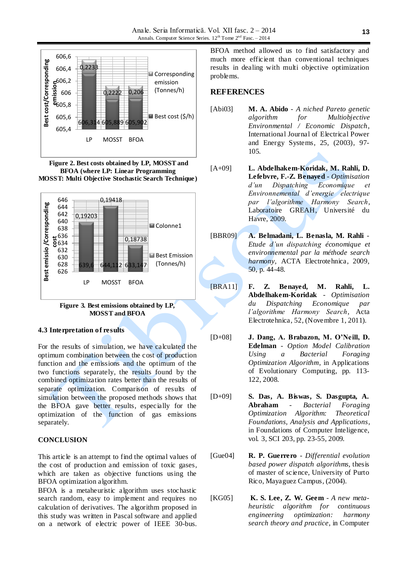







### **4.3 Interpretation of results**

For the results of simulation, we have calculated the optimum combination between the cost of production function and the emissions and the optimum of the two functions separately, the results found by the combined optimization rates better than the results of separate optimization. Comparison of results of simulation between the proposed methods shows that the BFOA gave better results, especially for the optimization of the function of gas emissions separately.

### **CONCLUSION**

This article is an attempt to find the optimal values of the cost of production and emission of toxic gases, which are taken as objective functions using the BFOA optimization algorithm.

BFOA is a metaheuristic algorithm uses stochastic search random, easy to implement and requires no calculation of derivatives. The algorithm proposed in this study was written in Pascal software and applied on a network of electric power of IEEE 30-bus.

BFOA method allowed us to find satisfactory and much more efficient than conventional techniques results in dealing with multi objective optimization problems.

# **REFERENCES**

- [Abi03] **M. A. Abido** *A niched Pareto genetic algorithm for Multiobjective Environmental / Economic Dispatch*, International Journal of Electrical Power and Energy Systems, 25, (2003), 97- 105.
- [A+09] **L. Abdelhakem-Koridak, M. Rahli, D. Lefebvre, F.-Z. Benayed** - *Optimisation d'un Dispatching Economique et Environnemental d'energie electrique par l'algorithme Harmony Search*, Laboratoire GREAH, Université du Havre, 2009.
- [BBR09] **A. Belmadani, L. Benasla, M. Rahli** *Etude d'un dispatching économique et environnemental par la méthode search harmony,* ACTA Electrotehnica, 2009, 50, p. 44-48.
- [BRA11] **F. Z. Benayed, M. Rahli, L. Abdelhakem-Koridak** - *Optimisation du Dispatching Economique par l'algorithme Harmony Search*, Acta Electrotehnica, 52, (Novembre 1, 2011).
- [D+08] **J. Dang, A. Brabazon, M. O'Neill, D. Edelman** - *Option Model Calibration Using a Bacterial Foraging Optimization Algorithm*, in Applications of Evolutionary Computing, pp. 113- 122, 2008.
- [D+09] **S. Das, A. Biswas, S. Dasgupta, A. Abraham** - *Bacterial Foraging Optimization Algorithm: Theoretical Foundations, Analysis and Applications*, in Foundations of Computer Inteligence, vol. 3, SCI 203, pp. 23-55, 2009.
- [Gue04] **R. P. Guerrero** *Differential evolution based power dispatch algorithms*, thesis of master of science, University of Purto Rico, Mayaguez Campus, (2004).
- [KG05] **K. S. Lee, Z. W. Geem** *A new metaheuristic algorithm for continuous engineering optimization: harmony search theory and practice*, in Computer